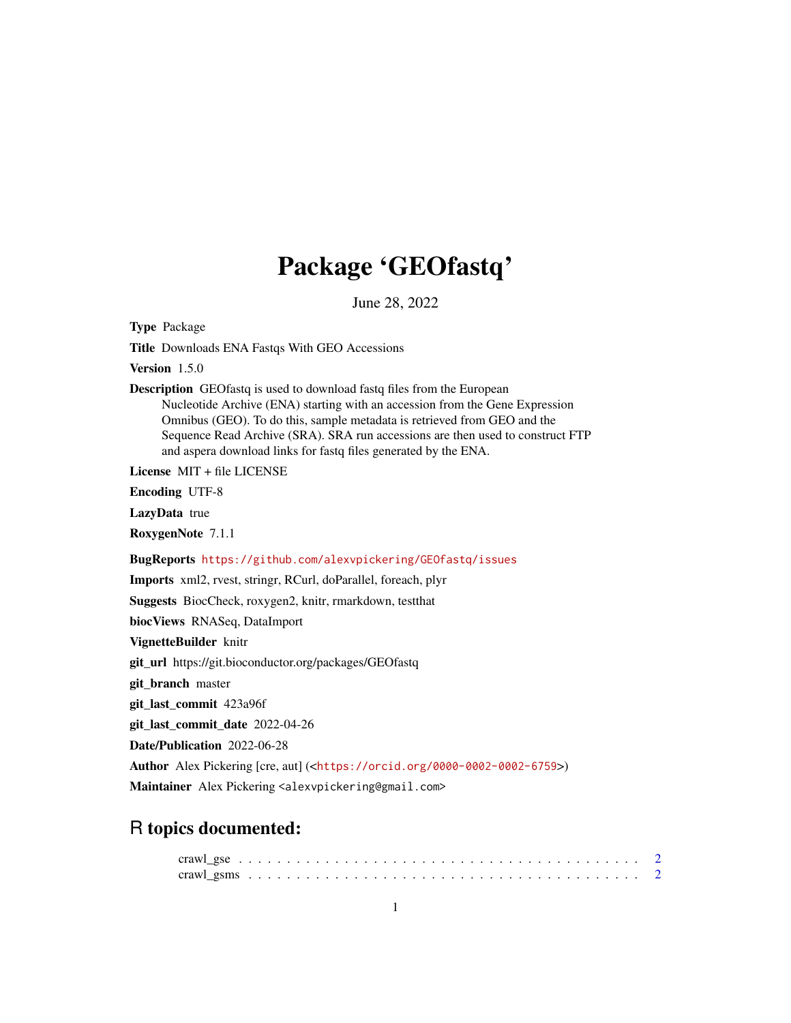## Package 'GEOfastq'

June 28, 2022

Type Package

Title Downloads ENA Fastqs With GEO Accessions

Version 1.5.0

Description GEOfastq is used to download fastq files from the European Nucleotide Archive (ENA) starting with an accession from the Gene Expression Omnibus (GEO). To do this, sample metadata is retrieved from GEO and the Sequence Read Archive (SRA). SRA run accessions are then used to construct FTP and aspera download links for fastq files generated by the ENA.

License MIT + file LICENSE

Encoding UTF-8

LazyData true

RoxygenNote 7.1.1

BugReports <https://github.com/alexvpickering/GEOfastq/issues>

Imports xml2, rvest, stringr, RCurl, doParallel, foreach, plyr

Suggests BiocCheck, roxygen2, knitr, rmarkdown, testthat

biocViews RNASeq, DataImport

VignetteBuilder knitr

git\_url https://git.bioconductor.org/packages/GEOfastq

git\_branch master

git\_last\_commit 423a96f

git\_last\_commit\_date 2022-04-26

Date/Publication 2022-06-28

Author Alex Pickering [cre, aut] (<<https://orcid.org/0000-0002-0002-6759>>)

Maintainer Alex Pickering <alexvpickering@gmail.com>

### R topics documented: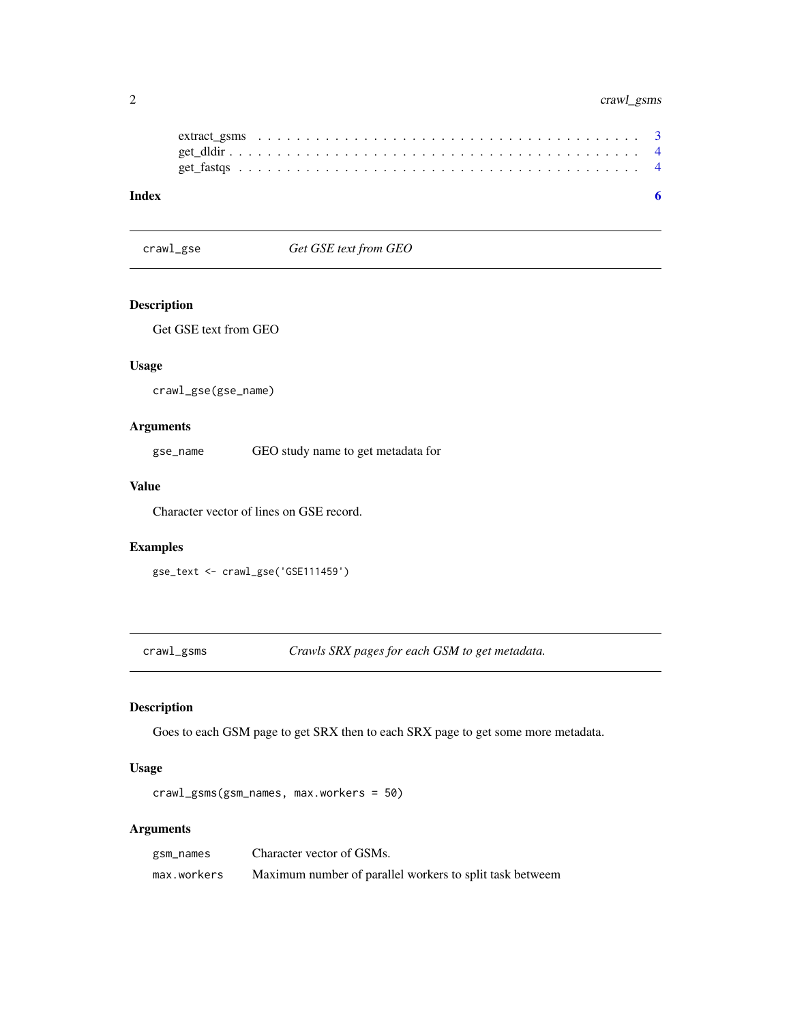#### <span id="page-1-0"></span>2 crawl\_gsms

<span id="page-1-1"></span>crawl\_gse *Get GSE text from GEO*

#### Description

Get GSE text from GEO

#### Usage

crawl\_gse(gse\_name)

#### Arguments

gse\_name GEO study name to get metadata for

#### Value

Character vector of lines on GSE record.

#### Examples

gse\_text <- crawl\_gse('GSE111459')

<span id="page-1-2"></span>crawl\_gsms *Crawls SRX pages for each GSM to get metadata.*

#### Description

Goes to each GSM page to get SRX then to each SRX page to get some more metadata.

#### Usage

crawl\_gsms(gsm\_names, max.workers = 50)

#### Arguments

| gsm_names   | Character vector of GSMs.                                |
|-------------|----------------------------------------------------------|
| max.workers | Maximum number of parallel workers to split task betweem |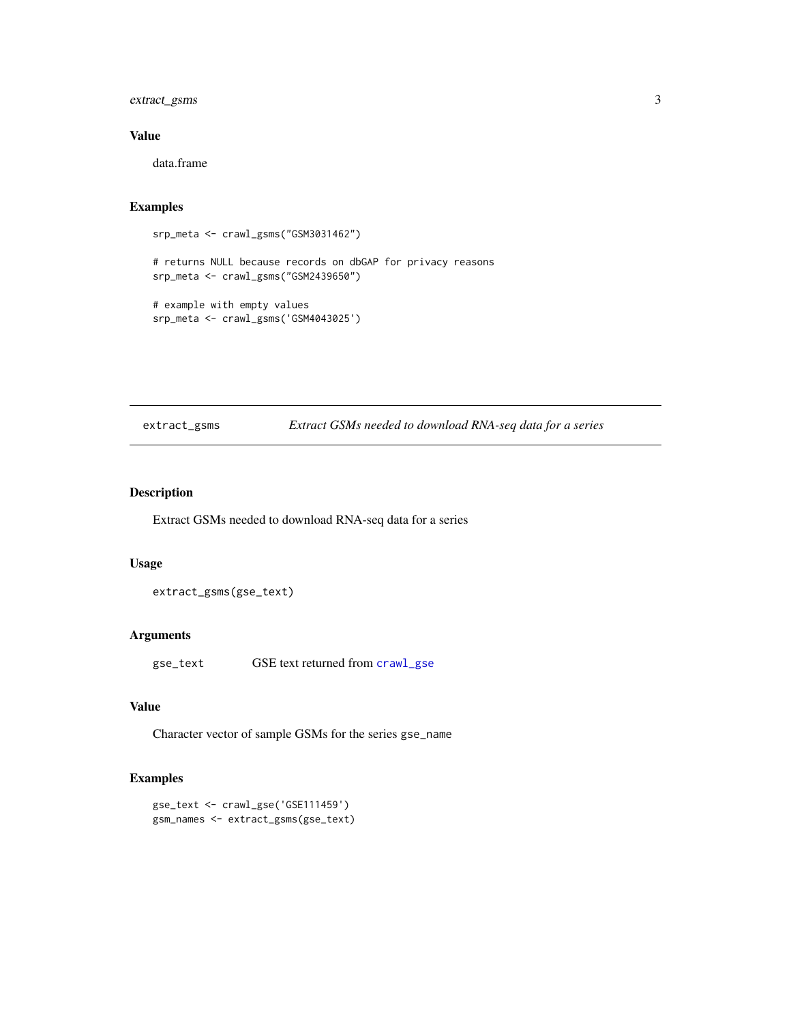#### <span id="page-2-0"></span>extract\_gsms 3

#### Value

data.frame

#### Examples

```
srp_meta <- crawl_gsms("GSM3031462")
```
# returns NULL because records on dbGAP for privacy reasons srp\_meta <- crawl\_gsms("GSM2439650")

```
# example with empty values
srp_meta <- crawl_gsms('GSM4043025')
```
#### extract\_gsms *Extract GSMs needed to download RNA-seq data for a series*

#### Description

Extract GSMs needed to download RNA-seq data for a series

#### Usage

extract\_gsms(gse\_text)

#### Arguments

gse\_text GSE text returned from [crawl\\_gse](#page-1-1)

#### Value

Character vector of sample GSMs for the series gse\_name

#### Examples

```
gse_text <- crawl_gse('GSE111459')
gsm_names <- extract_gsms(gse_text)
```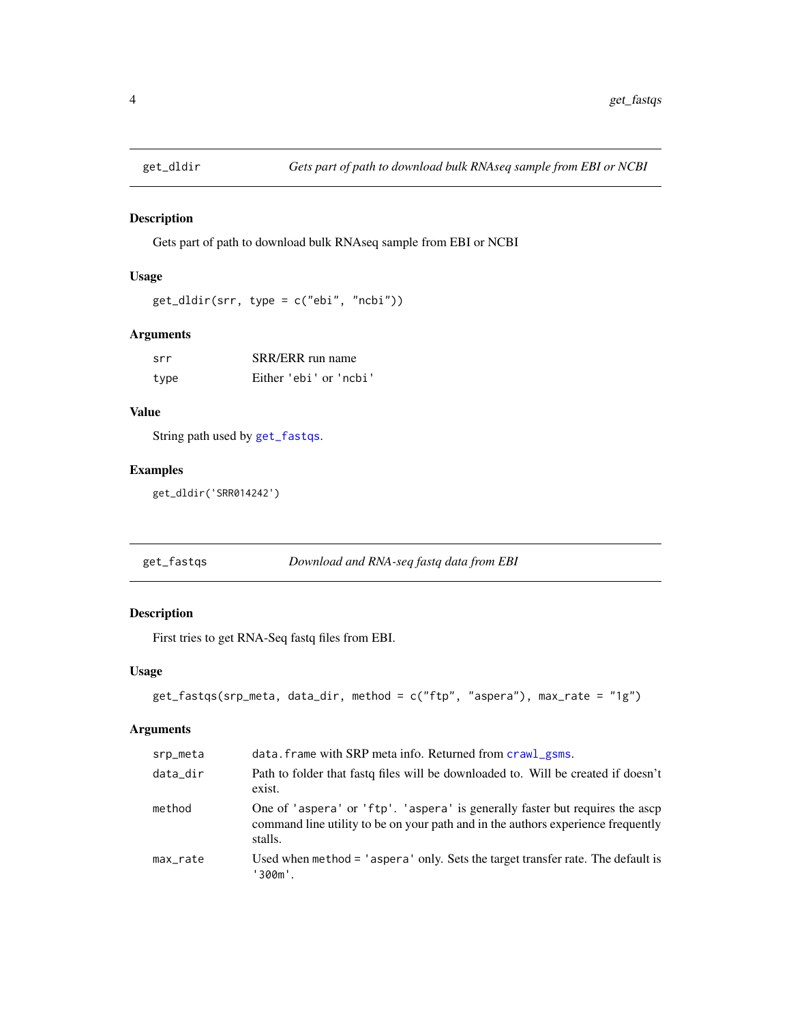<span id="page-3-0"></span>

#### Description

Gets part of path to download bulk RNAseq sample from EBI or NCBI

#### Usage

```
get_dldir(srr, type = c("ebi", "ncbi"))
```
#### Arguments

| srr  | SRR/ERR run name       |
|------|------------------------|
| type | Either 'ebi' or 'ncbi' |

#### Value

String path used by [get\\_fastqs](#page-3-1).

#### Examples

get\_dldir('SRR014242')

<span id="page-3-1"></span>

| get_fastqs | Download and RNA-seq fastq data from EBI |  |
|------------|------------------------------------------|--|
|            |                                          |  |

#### Description

First tries to get RNA-Seq fastq files from EBI.

#### Usage

```
get_fastqs(srp_meta, data_dir, method = c("ftp", "aspera"), max_rate = "1g")
```
#### Arguments

| srp_meta | data. frame with SRP meta info. Returned from crawl_gsms.                                                                                                                   |
|----------|-----------------------------------------------------------------------------------------------------------------------------------------------------------------------------|
| data_dir | Path to folder that fast of files will be downloaded to. Will be created if doesn't<br>exist.                                                                               |
| method   | One of 'aspera' or 'ftp'. 'aspera' is generally faster but requires the ascp<br>command line utility to be on your path and in the authors experience frequently<br>stalls. |
| max_rate | Used when method = 'aspera' only. Sets the target transfer rate. The default is<br>'300m'.                                                                                  |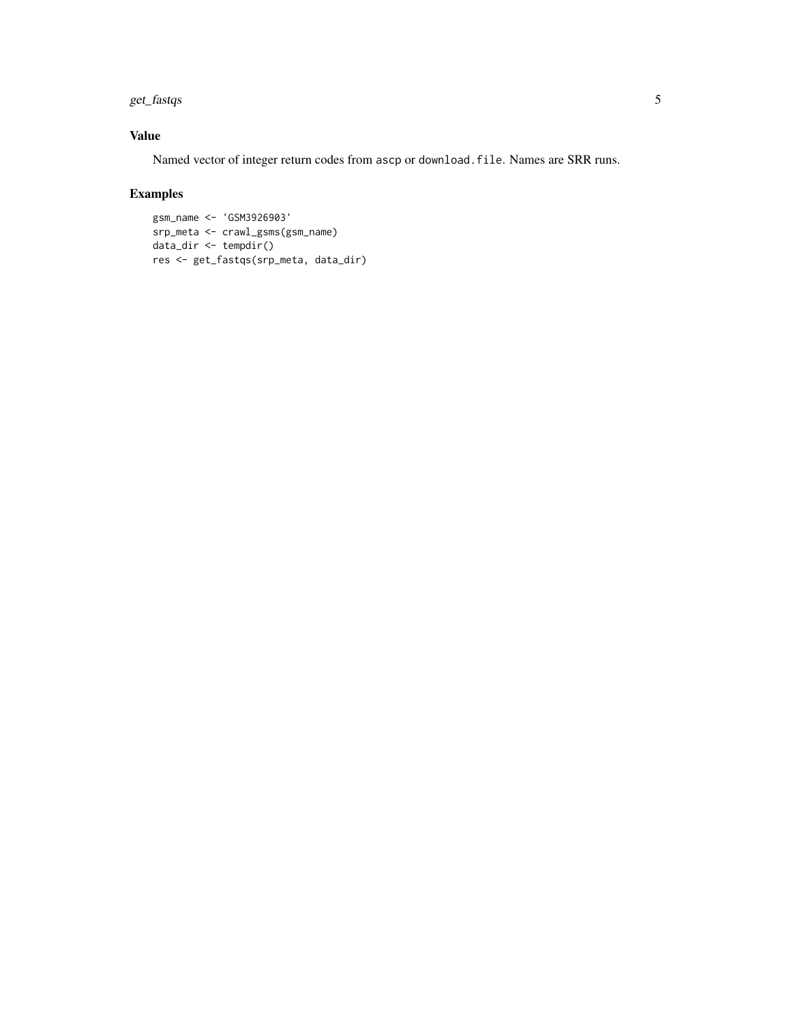#### get\_fastqs 5

#### Value

Named vector of integer return codes from ascp or download.file. Names are SRR runs.

#### Examples

```
gsm_name <- 'GSM3926903'
srp_meta <- crawl_gsms(gsm_name)
data_dir <- tempdir()
res <- get_fastqs(srp_meta, data_dir)
```